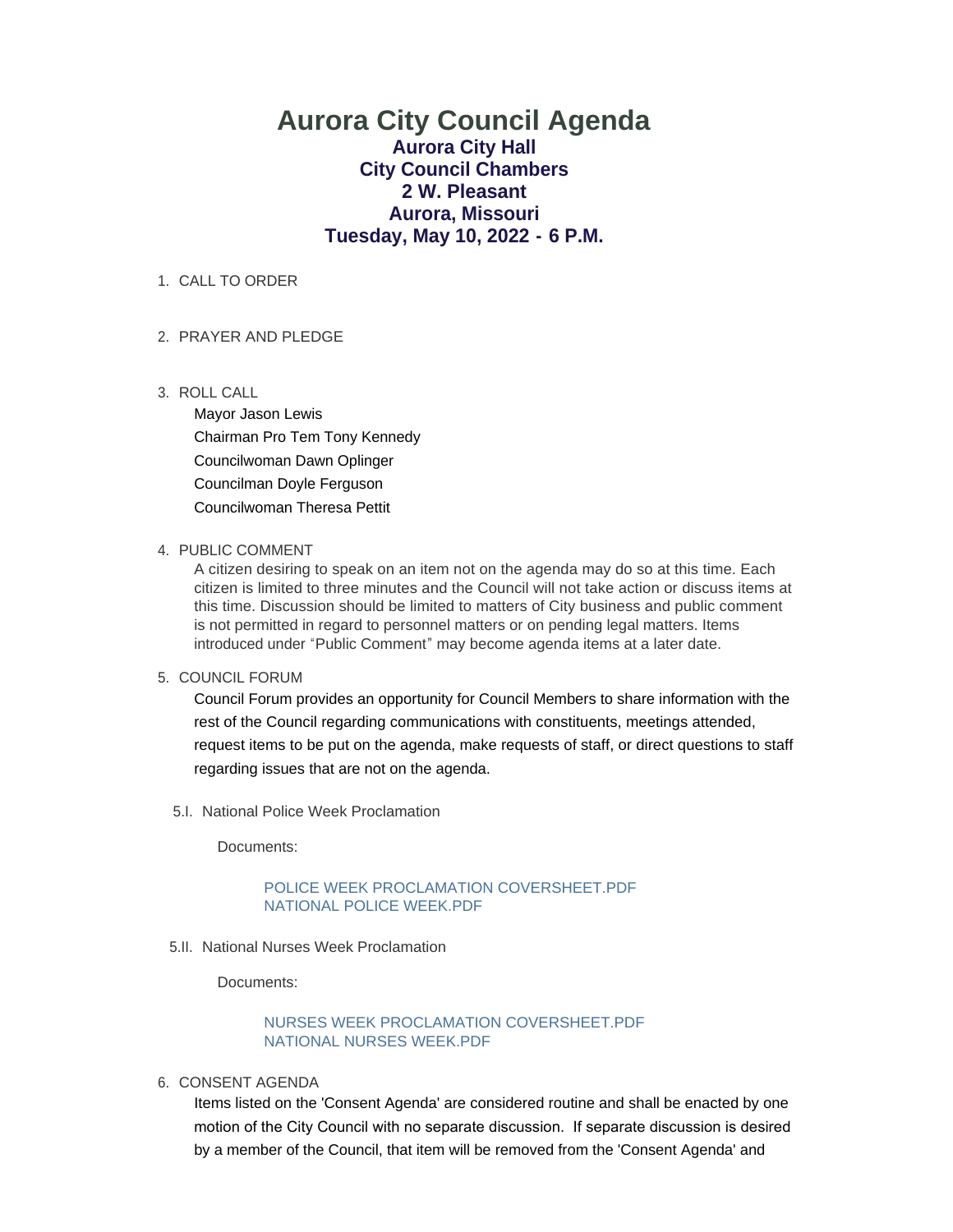# **Aurora City Council Agenda Aurora City Hall City Council Chambers 2 W. Pleasant Aurora, Missouri Tuesday, May 10, 2022 - 6 P.M.**

1. CALL TO ORDER

## PRAYER AND PLEDGE 2.

ROLL CALL 3.

Mayor Jason Lewis Chairman Pro Tem Tony Kennedy Councilwoman Dawn Oplinger Councilman Doyle Ferguson Councilwoman Theresa Pettit

#### 4. PUBLIC COMMENT

A citizen desiring to speak on an item not on the agenda may do so at this time. Each citizen is limited to three minutes and the Council will not take action or discuss items at this time. Discussion should be limited to matters of City business and public comment is not permitted in regard to personnel matters or on pending legal matters. Items introduced under "Public Comment" may become agenda items at a later date.

### 5. COUNCIL FORUM

Council Forum provides an opportunity for Council Members to share information with the rest of the Council regarding communications with constituents, meetings attended, request items to be put on the agenda, make requests of staff, or direct questions to staff regarding issues that are not on the agenda.

5.I. National Police Week Proclamation

Documents:

### [POLICE WEEK PROCLAMATION COVERSHEET.PDF](https://www.aurora-cityhall.org/AgendaCenter/ViewFile/Item/1870?fileID=2188) [NATIONAL POLICE WEEK.PDF](https://www.aurora-cityhall.org/AgendaCenter/ViewFile/Item/1870?fileID=2189)

5.II. National Nurses Week Proclamation

Documents:

## [NURSES WEEK PROCLAMATION COVERSHEET.PDF](https://www.aurora-cityhall.org/AgendaCenter/ViewFile/Item/1871?fileID=2190) [NATIONAL NURSES WEEK.PDF](https://www.aurora-cityhall.org/AgendaCenter/ViewFile/Item/1871?fileID=2191)

6. CONSENT AGENDA

Items listed on the 'Consent Agenda' are considered routine and shall be enacted by one motion of the City Council with no separate discussion. If separate discussion is desired by a member of the Council, that item will be removed from the 'Consent Agenda' and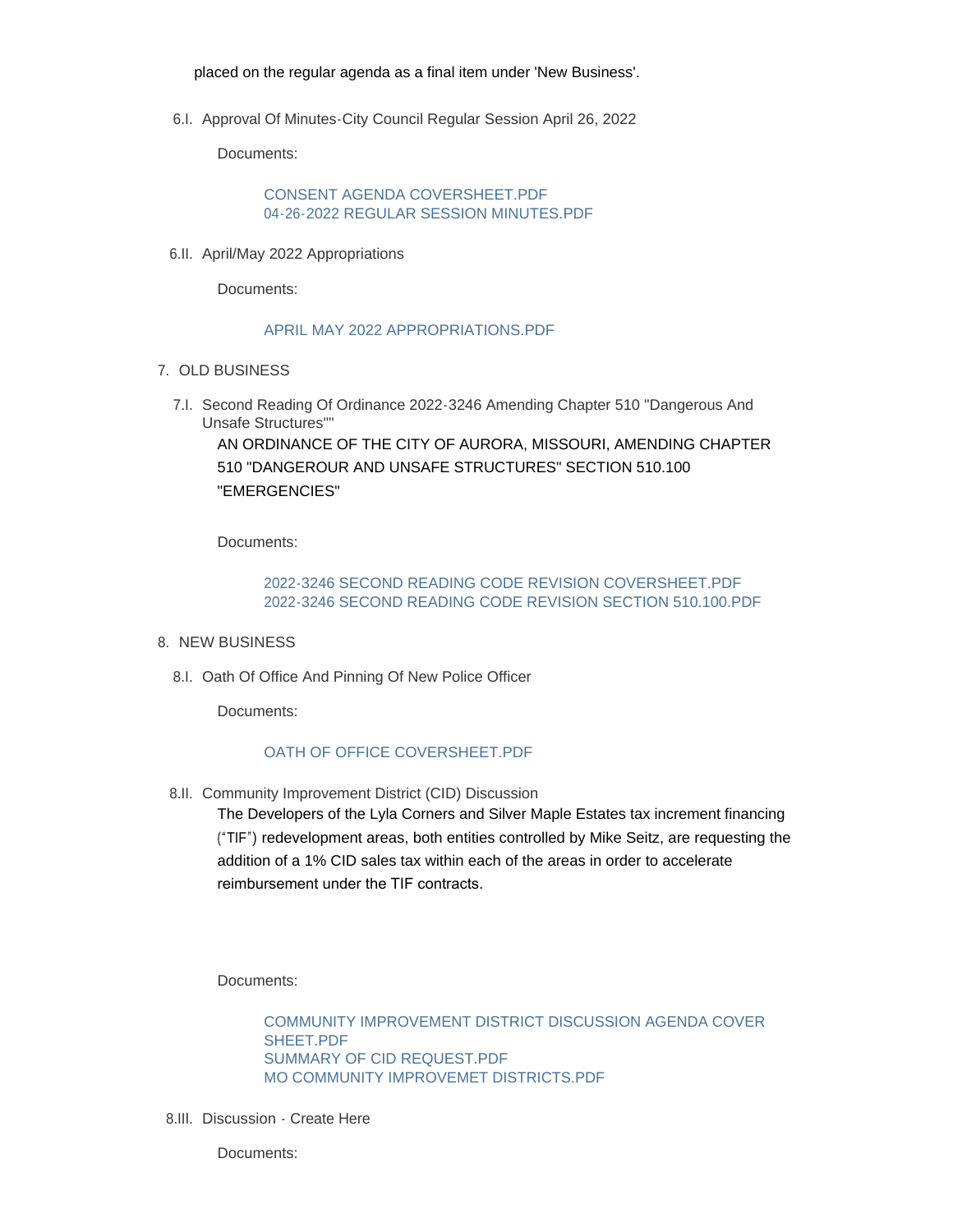placed on the regular agenda as a final item under 'New Business'.

6.I. Approval Of Minutes-City Council Regular Session April 26, 2022

Documents:

CONSENT AGENDA COVERSHEET PDF [04-26-2022 REGULAR SESSION MINUTES.PDF](https://www.aurora-cityhall.org/AgendaCenter/ViewFile/Item/1866?fileID=2185)

6.II. April/May 2022 Appropriations

Documents:

### [APRIL MAY 2022 APPROPRIATIONS.PDF](https://www.aurora-cityhall.org/AgendaCenter/ViewFile/Item/1867?fileID=2208)

- 7. OLD BUSINESS
	- 7.I. Second Reading Of Ordinance 2022-3246 Amending Chapter 510 "Dangerous And Unsafe Structures""

AN ORDINANCE OF THE CITY OF AURORA, MISSOURI, AMENDING CHAPTER 510 "DANGEROUR AND UNSAFE STRUCTURES" SECTION 510.100 "EMERGENCIES"

Documents:

### [2022-3246 SECOND READING CODE REVISION COVERSHEET.PDF](https://www.aurora-cityhall.org/AgendaCenter/ViewFile/Item/1873?fileID=2197) [2022-3246 SECOND READING CODE REVISION SECTION 510.100.PDF](https://www.aurora-cityhall.org/AgendaCenter/ViewFile/Item/1873?fileID=2193)

- 8. NEW BUSINESS
	- 8.I. Oath Of Office And Pinning Of New Police Officer

Documents:

### [OATH OF OFFICE COVERSHEET.PDF](https://www.aurora-cityhall.org/AgendaCenter/ViewFile/Item/1868?fileID=2223)

8.II. Community Improvement District (CID) Discussion

The Developers of the Lyla Corners and Silver Maple Estates tax increment financing ("TIF") redevelopment areas, both entities controlled by Mike Seitz, are requesting the addition of a 1% CID sales tax within each of the areas in order to accelerate reimbursement under the TIF contracts.

Documents:

[COMMUNITY IMPROVEMENT DISTRICT DISCUSSION AGENDA COVER](https://www.aurora-cityhall.org/AgendaCenter/ViewFile/Item/1874?fileID=2194)  SHEET PDF [SUMMARY OF CID REQUEST.PDF](https://www.aurora-cityhall.org/AgendaCenter/ViewFile/Item/1874?fileID=2195) [MO COMMUNITY IMPROVEMET DISTRICTS.PDF](https://www.aurora-cityhall.org/AgendaCenter/ViewFile/Item/1874?fileID=2196)

8.III. Discussion - Create Here

Documents: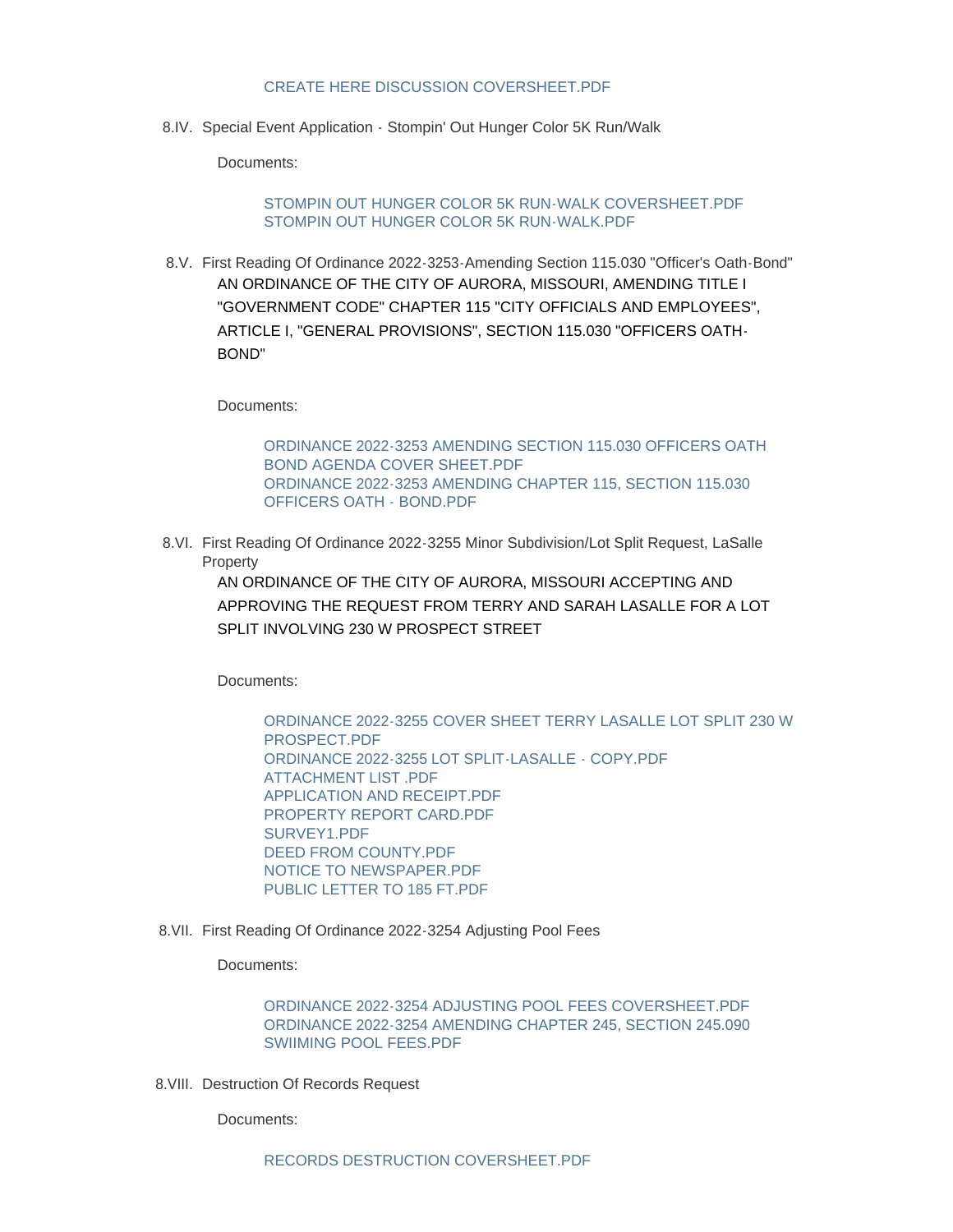#### [CREATE HERE DISCUSSION COVERSHEET.PDF](https://www.aurora-cityhall.org/AgendaCenter/ViewFile/Item/1872?fileID=2192)

8.IV. Special Event Application - Stompin' Out Hunger Color 5K Run/Walk

Documents:

### [STOMPIN OUT HUNGER COLOR 5K RUN-WALK COVERSHEET.PDF](https://www.aurora-cityhall.org/AgendaCenter/ViewFile/Item/1875?fileID=2198) [STOMPIN OUT HUNGER COLOR 5K RUN-WALK.PDF](https://www.aurora-cityhall.org/AgendaCenter/ViewFile/Item/1875?fileID=2199)

First Reading Of Ordinance 2022-3253-Amending Section 115.030 "Officer's Oath-Bond" 8.V. AN ORDINANCE OF THE CITY OF AURORA, MISSOURI, AMENDING TITLE I "GOVERNMENT CODE" CHAPTER 115 "CITY OFFICIALS AND EMPLOYEES", ARTICLE I, "GENERAL PROVISIONS", SECTION 115.030 "OFFICERS OATH-BOND"

Documents:

[ORDINANCE 2022-3253 AMENDING SECTION 115.030 OFFICERS OATH](https://www.aurora-cityhall.org/AgendaCenter/ViewFile/Item/1876?fileID=2201)  BOND AGENDA COVER SHEET.PDF [ORDINANCE 2022-3253 AMENDING CHAPTER 115, SECTION 115.030](https://www.aurora-cityhall.org/AgendaCenter/ViewFile/Item/1876?fileID=2203)  OFFICERS OATH - BOND.PDF

8.VI. First Reading Of Ordinance 2022-3255 Minor Subdivision/Lot Split Request, LaSalle Property

AN ORDINANCE OF THE CITY OF AURORA, MISSOURI ACCEPTING AND APPROVING THE REQUEST FROM TERRY AND SARAH LASALLE FOR A LOT SPLIT INVOLVING 230 W PROSPECT STREET

Documents:

[ORDINANCE 2022-3255 COVER SHEET TERRY LASALLE LOT SPLIT 230 W](https://www.aurora-cityhall.org/AgendaCenter/ViewFile/Item/1879?fileID=2212)  PROSPECT.PDF [ORDINANCE 2022-3255 LOT SPLIT-LASALLE - COPY.PDF](https://www.aurora-cityhall.org/AgendaCenter/ViewFile/Item/1879?fileID=2213) [ATTACHMENT LIST .PDF](https://www.aurora-cityhall.org/AgendaCenter/ViewFile/Item/1879?fileID=2214) [APPLICATION AND RECEIPT.PDF](https://www.aurora-cityhall.org/AgendaCenter/ViewFile/Item/1879?fileID=2215) [PROPERTY REPORT CARD.PDF](https://www.aurora-cityhall.org/AgendaCenter/ViewFile/Item/1879?fileID=2216) [SURVEY1.PDF](https://www.aurora-cityhall.org/AgendaCenter/ViewFile/Item/1879?fileID=2217) [DEED FROM COUNTY.PDF](https://www.aurora-cityhall.org/AgendaCenter/ViewFile/Item/1879?fileID=2218) [NOTICE TO NEWSPAPER.PDF](https://www.aurora-cityhall.org/AgendaCenter/ViewFile/Item/1879?fileID=2219) [PUBLIC LETTER TO 185 FT.PDF](https://www.aurora-cityhall.org/AgendaCenter/ViewFile/Item/1879?fileID=2220)

8. VII. First Reading Of Ordinance 2022-3254 Adjusting Pool Fees

Documents:

[ORDINANCE 2022-3254 ADJUSTING POOL FEES COVERSHEET.PDF](https://www.aurora-cityhall.org/AgendaCenter/ViewFile/Item/1880?fileID=2221) [ORDINANCE 2022-3254 AMENDING CHAPTER 245, SECTION 245.090](https://www.aurora-cityhall.org/AgendaCenter/ViewFile/Item/1880?fileID=2222)  SWIIMING POOL FEES.PDF

8. VIII. Destruction Of Records Request

Documents: